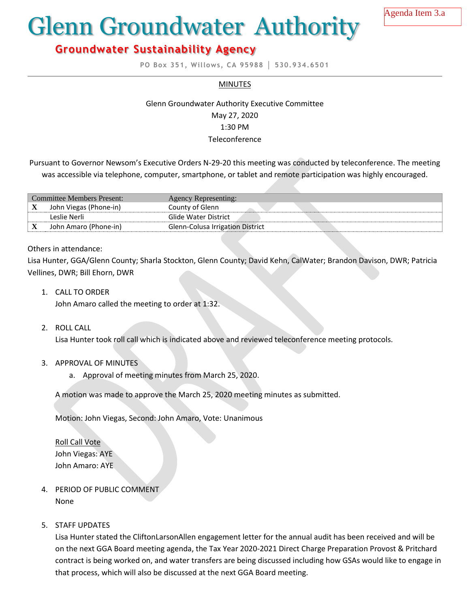Agenda Item 3.a

# Glenn Groundwater Authority

## **Groundwater Sustainability Agency**

**PO Box 351, Willows, CA 95988 │ 530.934.6501**

#### **MINUTES**

### Glenn Groundwater Authority Executive Committee May 27, 2020 1:30 PM **Teleconference**

Pursuant to Governor Newsom's Executive Orders N-29-20 this meeting was conducted by teleconference. The meeting was accessible via telephone, computer, smartphone, or tablet and remote participation was highly encouraged.

| <b>Committee Members Present:</b> |                        | Agency Representing:             |
|-----------------------------------|------------------------|----------------------------------|
| $\Lambda$                         | John Viegas (Phone-in) | County of Glenn                  |
|                                   | Teslie Nerli           | Glide Water District             |
| $\boldsymbol{\Lambda}$            | John Amaro (Phone-in)  | Glenn-Colusa Irrigation District |

#### Others in attendance:

Lisa Hunter, GGA/Glenn County; Sharla Stockton, Glenn County; David Kehn, CalWater; Brandon Davison, DWR; Patricia Vellines, DWR; Bill Ehorn, DWR

1. CALL TO ORDER

John Amaro called the meeting to order at 1:32.

2. ROLL CALL

Lisa Hunter took roll call which is indicated above and reviewed teleconference meeting protocols.

- 3. APPROVAL OF MINUTES
	- a. Approval of meeting minutes from March 25, 2020.

A motion was made to approve the March 25, 2020 meeting minutes as submitted.

Motion: John Viegas, Second: John Amaro, Vote: Unanimous

Roll Call Vote John Viegas: AYE John Amaro: AYE

- 4. PERIOD OF PUBLIC COMMENT None
- 5. STAFF UPDATES

Lisa Hunter stated the CliftonLarsonAllen engagement letter for the annual audit has been received and will be on the next GGA Board meeting agenda, the Tax Year 2020-2021 Direct Charge Preparation Provost & Pritchard contract is being worked on, and water transfers are being discussed including how GSAs would like to engage in that process, which will also be discussed at the next GGA Board meeting.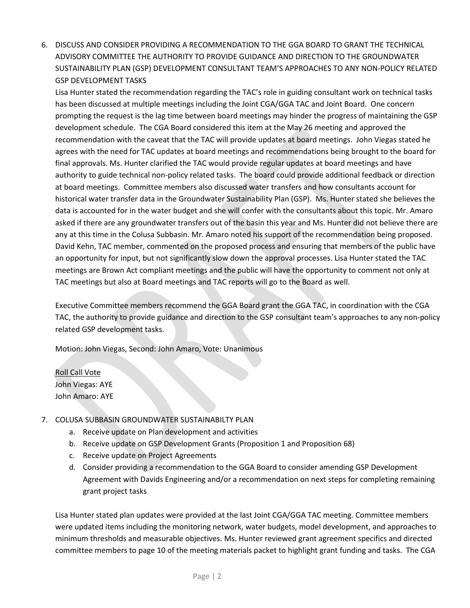6. DISCUSS AND CONSIDER PROVIDING A RECOMMENDATION TO THE GGA BOARD TO GRANT THE TECHNICAL ADVISORY COMMITTEE THE AUTHORITY TO PROVIDE GUIDANCE AND DIRECTION TO THE GROUNDWATER SUSTAINABILITY PLAN (GSP) DEVELOPMENT CONSULTANT TEAM'S APPROACHES TO ANY NON-POLICY RELATED GSP DEVELOPMENT TASKS

Lisa Hunter stated the recommendation regarding the TAC's role in guiding consultant work on technical tasks has been discussed at multiple meetings including the Joint CGA/GGA TAC and Joint Board. One concern prompting the request is the lag time between board meetings may hinder the progress of maintaining the GSP development schedule. The CGA Board considered this item at the May 26 meeting and approved the recommendation with the caveat that the TAC will provide updates at board meetings. John Viegas stated he agrees with the need for TAC updates at board meetings and recommendations being brought to the board for final approvals. Ms. Hunter clarified the TAC would provide regular updates at board meetings and have authority to guide technical non-policy related tasks. The board could provide additional feedback or direction at board meetings. Committee members also discussed water transfers and how consultants account for historical water transfer data in the Groundwater Sustainability Plan (GSP). Ms. Hunter stated she believes the data is accounted for in the water budget and she will confer with the consultants about this topic. Mr. Amaro asked if there are any groundwater transfers out of the basin this year and Ms. Hunter did not believe there are any at this time in the Colusa Subbasin. Mr. Amaro noted his support of the recommendation being proposed. David Kehn, TAC member, commented on the proposed process and ensuring that members of the public have an opportunity for input, but not significantly slow down the approval processes. Lisa Hunter stated the TAC meetings are Brown Act compliant meetings and the public will have the opportunity to comment not only at TAC meetings but also at Board meetings and TAC reports will go to the Board as well.

Executive Committee members recommend the GGA Board grant the GGA TAC, in coordination with the CGA TAC, the authority to provide guidance and direction to the GSP consultant team's approaches to any non-policy related GSP development tasks.

Motion: John Viegas, Second: John Amaro, Vote: Unanimous

Roll Call Vote John Viegas: AYE John Amaro: AYE

#### 7. COLUSA SUBBASIN GROUNDWATER SUSTAINABILTY PLAN

- a. Receive update on Plan development and activities
- b. Receive update on GSP Development Grants (Proposition 1 and Proposition 68)
- c. Receive update on Project Agreements
- d. Consider providing a recommendation to the GGA Board to consider amending GSP Development Agreement with Davids Engineering and/or a recommendation on next steps for completing remaining grant project tasks

Lisa Hunter stated plan updates were provided at the last Joint CGA/GGA TAC meeting. Committee members were updated items including the monitoring network, water budgets, model development, and approaches to minimum thresholds and measurable objectives. Ms. Hunter reviewed grant agreement specifics and directed committee members to page 10 of the meeting materials packet to highlight grant funding and tasks. The CGA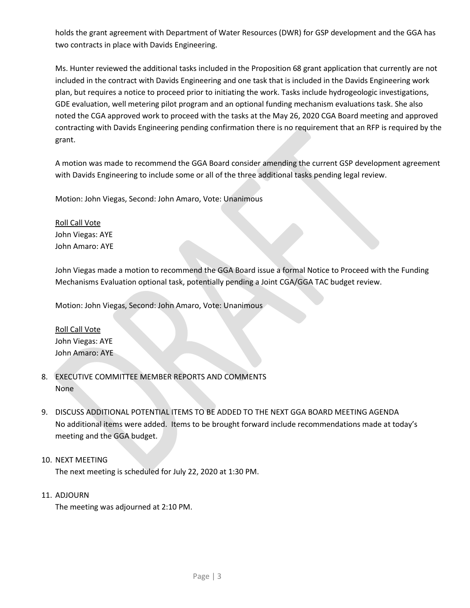holds the grant agreement with Department of Water Resources (DWR) for GSP development and the GGA has two contracts in place with Davids Engineering.

Ms. Hunter reviewed the additional tasks included in the Proposition 68 grant application that currently are not included in the contract with Davids Engineering and one task that is included in the Davids Engineering work plan, but requires a notice to proceed prior to initiating the work. Tasks include hydrogeologic investigations, GDE evaluation, well metering pilot program and an optional funding mechanism evaluations task. She also noted the CGA approved work to proceed with the tasks at the May 26, 2020 CGA Board meeting and approved contracting with Davids Engineering pending confirmation there is no requirement that an RFP is required by the grant.

A motion was made to recommend the GGA Board consider amending the current GSP development agreement with Davids Engineering to include some or all of the three additional tasks pending legal review.

Motion: John Viegas, Second: John Amaro, Vote: Unanimous

Roll Call Vote John Viegas: AYE John Amaro: AYE

John Viegas made a motion to recommend the GGA Board issue a formal Notice to Proceed with the Funding Mechanisms Evaluation optional task, potentially pending a Joint CGA/GGA TAC budget review.

Motion: John Viegas, Second: John Amaro, Vote: Unanimous

Roll Call Vote John Viegas: AYE John Amaro: AYE

- 8. EXECUTIVE COMMITTEE MEMBER REPORTS AND COMMENTS None
- 9. DISCUSS ADDITIONAL POTENTIAL ITEMS TO BE ADDED TO THE NEXT GGA BOARD MEETING AGENDA No additional items were added. Items to be brought forward include recommendations made at today's meeting and the GGA budget.

#### 10. NEXT MEETING

The next meeting is scheduled for July 22, 2020 at 1:30 PM.

11. ADJOURN

The meeting was adjourned at 2:10 PM.